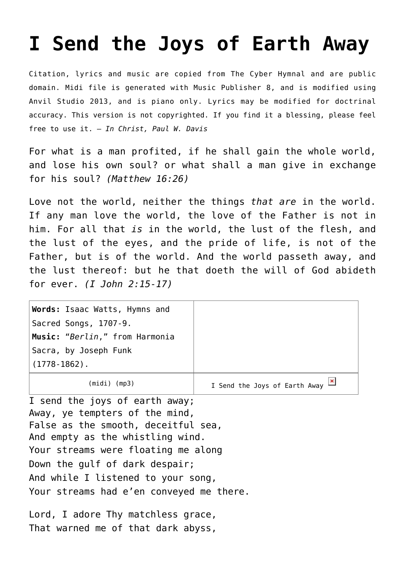## **[I Send the Joys of Earth Away](http://reproachofmen.org/hymns-and-music/i-send-the-joys-of-earth-away/)**

Citation, lyrics and music are copied from [The Cyber Hymnal](http://www.hymntime.com/tch/) and are public domain. Midi file is generated with [Music Publisher 8](http://www.braeburn.co.uk/mp.htm), and is modified using [Anvil Studio 2013](http://www.anvilstudio.com/), and is piano only. Lyrics may be modified for doctrinal accuracy. This version is not copyrighted. If you find it a blessing, please feel free to use it. — *In Christ, Paul W. Davis*

For what is a man profited, if he shall gain the whole world, and lose his own soul? or what shall a man give in exchange for his soul? *(Matthew 16:26)*

Love not the world, neither the things *that are* in the world. If any man love the world, the love of the Father is not in him. For all that *is* in the world, the lust of the flesh, and the lust of the eyes, and the pride of life, is not of the Father, but is of the world. And the world passeth away, and the lust thereof: but he that doeth the will of God abideth for ever. *(I John 2:15-17)*

| Words: Isaac Watts, Hymns and  |                                                        |
|--------------------------------|--------------------------------------------------------|
| Sacred Songs, 1707-9.          |                                                        |
| Music: "Berlin," from Harmonia |                                                        |
| Sacra, by Joseph Funk          |                                                        |
| $\mid$ (1778-1862).            |                                                        |
| (midi)<br>(mp3)                | I Send the Joys of Earth Away $\frac{ \mathbf{x} }{n}$ |

I send the joys of earth away; Away, ye tempters of the mind, False as the smooth, deceitful sea, And empty as the whistling wind. Your streams were floating me along Down the gulf of dark despair; And while I listened to your song, Your streams had e'en conveyed me there.

Lord, I adore Thy matchless grace, That warned me of that dark abyss,